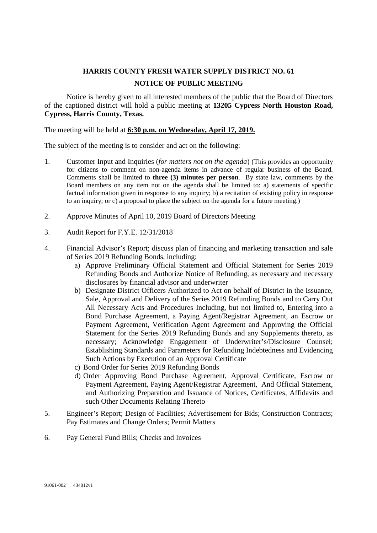## **HARRIS COUNTY FRESH WATER SUPPLY DISTRICT NO. 61 NOTICE OF PUBLIC MEETING**

Notice is hereby given to all interested members of the public that the Board of Directors of the captioned district will hold a public meeting at **13205 Cypress North Houston Road, Cypress, Harris County, Texas.**

## The meeting will be held at **6:30 p.m. on Wednesday, April 17, 2019.**

The subject of the meeting is to consider and act on the following:

- 1. Customer Input and Inquiries (*for matters not on the agenda*) (This provides an opportunity for citizens to comment on non-agenda items in advance of regular business of the Board. Comments shall be limited to **three (3) minutes per person**. By state law, comments by the Board members on any item not on the agenda shall be limited to: a) statements of specific factual information given in response to any inquiry; b) a recitation of existing policy in response to an inquiry; or c) a proposal to place the subject on the agenda for a future meeting.)
- 2. Approve Minutes of April 10, 2019 Board of Directors Meeting
- 3. Audit Report for F.Y.E. 12/31/2018
- 4. Financial Advisor's Report; discuss plan of financing and marketing transaction and sale of Series 2019 Refunding Bonds, including:
	- a) Approve Preliminary Official Statement and Official Statement for Series 2019 Refunding Bonds and Authorize Notice of Refunding, as necessary and necessary disclosures by financial advisor and underwriter
	- b) Designate District Officers Authorized to Act on behalf of District in the Issuance, Sale, Approval and Delivery of the Series 2019 Refunding Bonds and to Carry Out All Necessary Acts and Procedures Including, but not limited to, Entering into a Bond Purchase Agreement, a Paying Agent/Registrar Agreement, an Escrow or Payment Agreement, Verification Agent Agreement and Approving the Official Statement for the Series 2019 Refunding Bonds and any Supplements thereto, as necessary; Acknowledge Engagement of Underwriter's/Disclosure Counsel; Establishing Standards and Parameters for Refunding Indebtedness and Evidencing Such Actions by Execution of an Approval Certificate
	- c) Bond Order for Series 2019 Refunding Bonds
	- d) Order Approving Bond Purchase Agreement, Approval Certificate, Escrow or Payment Agreement, Paying Agent/Registrar Agreement, And Official Statement, and Authorizing Preparation and Issuance of Notices, Certificates, Affidavits and such Other Documents Relating Thereto
- 5. Engineer's Report; Design of Facilities; Advertisement for Bids; Construction Contracts; Pay Estimates and Change Orders; Permit Matters
- 6. Pay General Fund Bills; Checks and Invoices